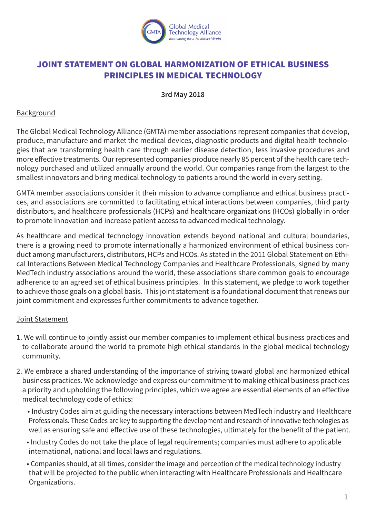

## JOINT STATEMENT ON GLOBAL HARMONIZATION OF ETHICAL BUSINESS PRINCIPLES IN MEDICAL TECHNOLOGY

## **3rd May 2018**

## Background

The Global Medical Technology Alliance (GMTA) member associations represent companies that develop, produce, manufacture and market the medical devices, diagnostic products and digital health technologies that are transforming health care through earlier disease detection, less invasive procedures and more effective treatments. Our represented companies produce nearly 85 percent of the health care technology purchased and utilized annually around the world. Our companies range from the largest to the smallest innovators and bring medical technology to patients around the world in every setting.

GMTA member associations consider it their mission to advance compliance and ethical business practices, and associations are committed to facilitating ethical interactions between companies, third party distributors, and healthcare professionals (HCPs) and healthcare organizations (HCOs) globally in order to promote innovation and increase patient access to advanced medical technology.

As healthcare and medical technology innovation extends beyond national and cultural boundaries, there is a growing need to promote internationally a harmonized environment of ethical business conduct among manufacturers, distributors, HCPs and HCOs. As stated in the 2011 Global Statement on Ethical Interactions Between Medical Technology Companies and Healthcare Professionals, signed by many MedTech industry associations around the world, these associations share common goals to encourage adherence to an agreed set of ethical business principles. In this statement, we pledge to work together to achieve those goals on a global basis. This joint statement is a foundational document that renews our joint commitment and expresses further commitments to advance together.

## Joint Statement

- 1. We will continue to jointly assist our member companies to implement ethical business practices and to collaborate around the world to promote high ethical standards in the global medical technology community.
- 2. We embrace a shared understanding of the importance of striving toward global and harmonized ethical business practices. We acknowledge and express our commitment to making ethical business practices a priority and upholding the following principles, which we agree are essential elements of an effective medical technology code of ethics:
	- Industry Codes aim at guiding the necessary interactions between MedTech industry and Healthcare Professionals. These Codes are key to supporting the development and research of innovative technologies as well as ensuring safe and effective use of these technologies, ultimately for the benefit of the patient.
	- Industry Codes do not take the place of legal requirements; companies must adhere to applicable international, national and local laws and regulations.
	- Companies should, at all times, consider the image and perception of the medical technology industry that will be projected to the public when interacting with Healthcare Professionals and Healthcare Organizations.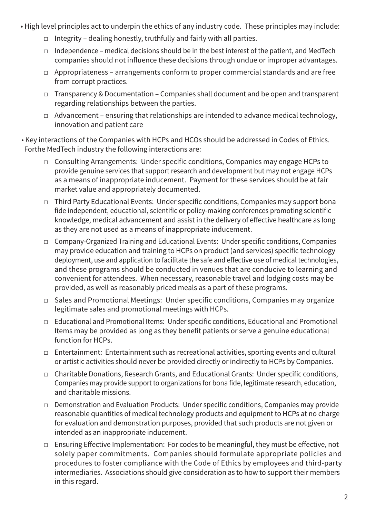- High level principles act to underpin the ethics of any industry code. These principles may include:
	- $\Box$  Integrity dealing honestly, truthfully and fairly with all parties.
	- $\Box$  Independence medical decisions should be in the best interest of the patient, and MedTech companies should not influence these decisions through undue or improper advantages.
	- □ Appropriateness arrangements conform to proper commercial standards and are free from corrupt practices.
	- □ Transparency & Documentation Companies shall document and be open and transparent regarding relationships between the parties.
	- $\Box$  Advancement ensuring that relationships are intended to advance medical technology, innovation and patient care
- Key interactions of the Companies with HCPs and HCOs should be addressed in Codes of Ethics. Forthe MedTech industry the following interactions are:
	- □ Consulting Arrangements: Under specific conditions, Companies may engage HCPs to provide genuine services that support research and development but may not engage HCPs as a means of inappropriate inducement. Payment for these services should be at fair market value and appropriately documented.
	- □ Third Party Educational Events: Under specific conditions, Companies may support bona fide independent, educational, scientific or policy-making conferences promoting scientific knowledge, medical advancement and assist in the delivery of effective healthcare as long as they are not used as a means of inappropriate inducement.
	- □ Company-Organized Training and Educational Events: Under specific conditions, Companies may provide education and training to HCPs on product (and services) specific technology deployment, use and application to facilitate the safe and effective use of medical technologies, and these programs should be conducted in venues that are conducive to learning and convenient for attendees. When necessary, reasonable travel and lodging costs may be provided, as well as reasonably priced meals as a part of these programs.
	- □ Sales and Promotional Meetings: Under specific conditions, Companies may organize legitimate sales and promotional meetings with HCPs.
	- □ Educational and Promotional Items: Under specific conditions, Educational and Promotional Items may be provided as long as they benefit patients or serve a genuine educational function for HCPs.
	- □ Entertainment: Entertainment such as recreational activities, sporting events and cultural or artistic activities should never be provided directly or indirectly to HCPs by Companies.
	- □ Charitable Donations, Research Grants, and Educational Grants: Under specific conditions, Companies may provide support to organizations for bona fide, legitimate research, education, and charitable missions.
	- □ Demonstration and Evaluation Products: Under specific conditions, Companies may provide reasonable quantities of medical technology products and equipment to HCPs at no charge for evaluation and demonstration purposes, provided that such products are not given or intended as an inappropriate inducement.
	- $\Box$  Ensuring Effective Implementation: For codes to be meaningful, they must be effective, not solely paper commitments. Companies should formulate appropriate policies and procedures to foster compliance with the Code of Ethics by employees and third-party intermediaries. Associations should give consideration as to how to support their members in this regard.